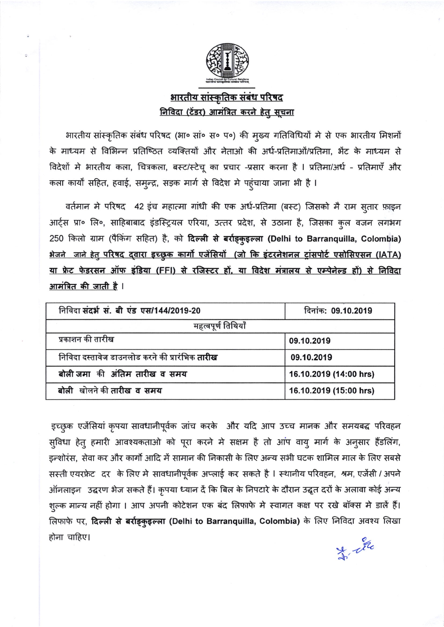

# <u> आरतीय सांस्कृतिक संबंध परिषद</u> निविदा (टेंडर) आमंत्रित करने हेतु सूचना

भारतीय सांस्कृतिक संबंध परिषद (भा० सां० स० प०) की मुख्य गतिविधियों मे से एक भारतीय मिशनों के माध्यम से विभिन्न प्रतिष्ठित व्यक्तियों और नेताओं की अर्ध-प्रतिमाओं/प्रतिमा, भेंट के माध्यम से विदेशों मे भारतीय कला, चित्रकला, बस्ट/स्टेचू का प्रचार -प्रसार करना है । प्रतिमा/अर्ध - प्रतिमाएँ और कला कार्यों सहित, हवाई, समुन्द्र, सड़क मार्ग से विदेश मे पहुंचाया जाना भी है ।

वर्तमान मे परिषद 42 इंच महात्मा गांधी की एक अर्ध-प्रतिमा (बस्ट) जिसको मै राम स्तार फ़ाइन आर्ट्स प्रा॰ लि॰, साहिबाबाद इंडस्ट्रियल एरिया, उत्तर प्रदेश, से उठाना है, जिसका कुल वजन लगभग 250 किलो ग्राम (पैकिंग सहित) है, को दिल्ली से बर्राइकुइल्ला (Delhi to Barranquilla, Colombia) <u>भेजने जाने हेतु परिषद द्वारा इच्छुक कार्गो एजेंसियों (जो कि इंटरनेशनल ट्रांसपोर्ट एसोसिएसन (IATA)</u> <u>या फ्रेट फेडरसन ऑफ इंडिया (FFI) से रजिस्टर हों, या विदेश मंत्रालय से एम्पेनेल्ड हों) से निविदा</u> आमंत्रित की जाती है ।

| निविदा संदर्भ सं. बी एंड एस/144/2019-20                | दिनांक: 09.10.2019     |  |
|--------------------------------------------------------|------------------------|--|
| महत्वपूर्ण तिथियाँ                                     |                        |  |
| प्रकाशन की तारीख                                       | 09.10.2019             |  |
| निविदा दस्तावेज डाउनलोड करने की प्रारंभिक <b>तारीख</b> | 09.10.2019             |  |
| बोली जमा की अंतिम तारीख व समय                          | 16.10.2019 (14:00 hrs) |  |
| बोली खोलने की तारीख व समय                              | 16.10.2019 (15:00 hrs) |  |

इच्छुक एजेंसियां कृपया सावधानीपूर्वक जांच करके और यदि आप उच्च मानक और समयबद्ध परिवहन स्विधा हेत् हमारी आवश्यकताओं को पूरा करने मे सक्षम है तो आप वायु मार्ग के अनुसार हैंडलिंग, इन्शोरंस, सेवा कर और कार्गो आदि में सामान की निकासी के लिए अन्य सभी घटक शामिल माल के लिए सबसे सस्ती एयरफ्रेट दर के लिए मे सावधानीपूर्वक अप्लाई कर सकते है । स्थानीय परिवहन, श्रम, एजेंसी / अपने ऑनलाइन उद्धरण भेज सकते हैं। कृपया ध्यान दें कि बिल के निपटारे के दौरान उद्धृत दरों के अलावा कोई अन्य शूल्क मान्य नहीं होगा । आप अपनी कोटेशन एक बंद लिफाफे मे स्वागत कक्ष पर रखे बॉक्स मे डालें हैं। लिफाफे पर, **दिल्ली से बर्राङ्क्इल्ला (Delhi to Barranquilla, Colombia)** के लिए निविदा अवश्य लिखा होना चाहिए।

 $\frac{1}{2}$  the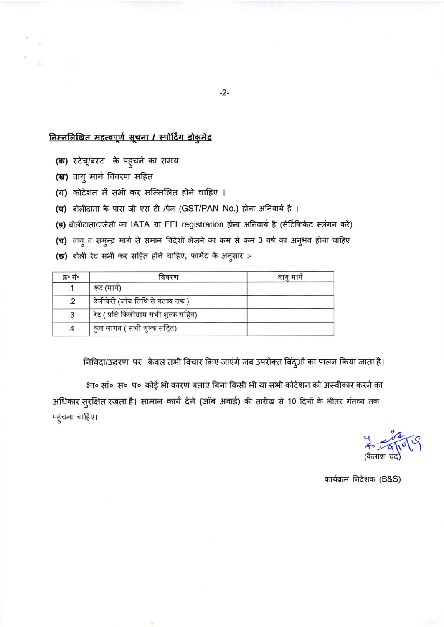# निम्नलिखित महत्वपूर्ण सूचना / स्पोर्टिंग डोकुमेंट

(क) स्टेचू/बस्ट के पहुचने का समय

(ख) वायु मार्ग विवरण सहित

(ग) कोटेशन में सभी कर सम्मिलित होने चाहिए ।

(घ) बोलीदाता के पास जी एस टी /पेन (GST/PAN No.) होना अनिवार्य है।

(ङ) बोलीदाता/एजेंसी का IATA या FFI registration होना अनिवार्य है (सेर्टिफिकेट स्लंगन करें)

(च) वायु व समुन्द्र मार्ग से समान विदेशों भेजने का कम से कम 3 वर्ष का अनुभव होना चाहिए

(छ) बोली रेट सभी कर सहित होने चाहिए, फार्मेट के अनुसार :-

| क्र∘ स∘ | ाववरण                                 | वाय माग |
|---------|---------------------------------------|---------|
|         | रूट (मार्ग)                           |         |
|         | डेलीवेरी (जॉब तिथि से गंतव्य तक )     |         |
| .3      | रेट ( प्रति किलोग्राम सभी शुल्क सहित) |         |
| .4      | कुल लागत ( सभी शुल्क सहित)            |         |

निविदा/उद्धरण पर केवल तभी विचार किए जाएंगे जब उपरोक्त बिंदुओं का पालन किया जाता है।

भा॰ सां॰ स॰ प॰ कोई भी कारण बताए बिना किसी भी या सभी कोटेशन को अस्वीकार करने का अधिकार सुरक्षित रखता है। सामान कार्य देने (जॉब अवार्ड) की तारीख से 10 दिनों के भीतर गंतव्य तक पहुंचना चाहिए।

कार्यक्रम निदेशक (B&S)

 $-2-$